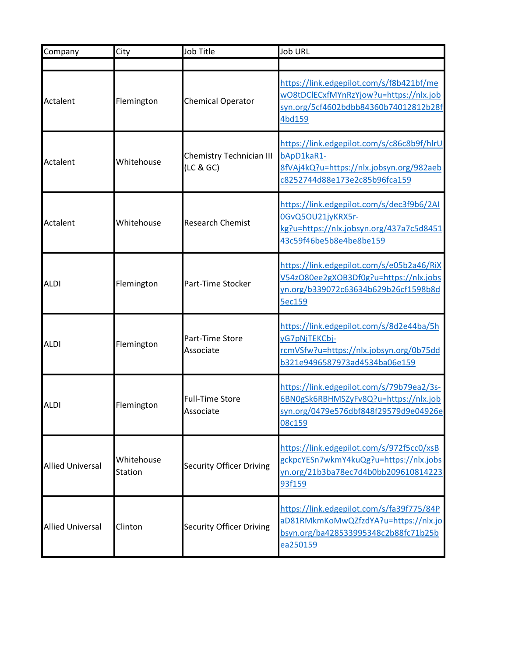| Company                 | City                         | Job Title                            | <b>Job URL</b>                                                                                                                        |
|-------------------------|------------------------------|--------------------------------------|---------------------------------------------------------------------------------------------------------------------------------------|
|                         |                              |                                      |                                                                                                                                       |
| Actalent                | Flemington                   | <b>Chemical Operator</b>             | https://link.edgepilot.com/s/f8b421bf/me<br>wO8tDClECxfMYnRzYjow?u=https://nlx.job<br>syn.org/5cf4602bdbb84360b74012812b28f<br>4bd159 |
| Actalent                | Whitehouse                   | Chemistry Technician III<br>(LC & G) | https://link.edgepilot.com/s/c86c8b9f/hlrU<br>bApD1kaR1-<br>8fVAj4kQ?u=https://nlx.jobsyn.org/982aeb<br>c8252744d88e173e2c85b96fca159 |
| Actalent                | Whitehouse                   | <b>Research Chemist</b>              | https://link.edgepilot.com/s/dec3f9b6/2AI<br>0GvQ5OU21jyKRX5r-<br>kg?u=https://nlx.jobsyn.org/437a7c5d8451<br>43c59f46be5b8e4be8be159 |
| <b>ALDI</b>             | Flemington                   | Part-Time Stocker                    | https://link.edgepilot.com/s/e05b2a46/RiX<br>V54zO80ee2gXOB3Df0g?u=https://nlx.jobs<br>yn.org/b339072c63634b629b26cf1598b8d<br>5ec159 |
| <b>ALDI</b>             | Flemington                   | Part-Time Store<br>Associate         | https://link.edgepilot.com/s/8d2e44ba/5h<br>yG7pNjTEKCbj-<br>rcmVSfw?u=https://nlx.jobsyn.org/0b75dd<br>b321e9496587973ad4534ba06e159 |
| <b>ALDI</b>             | Flemington                   | <b>Full-Time Store</b><br>Associate  | https://link.edgepilot.com/s/79b79ea2/3s-<br>6BN0gSk6RBHMSZyFv8Q?u=https://nlx.job<br>syn.org/0479e576dbf848f29579d9e04926e<br>08c159 |
| <b>Allied Universal</b> | Whitehouse<br><b>Station</b> | <b>Security Officer Driving</b>      | https://link.edgepilot.com/s/972f5cc0/xsB<br>gckpcYESn7wkmY4kuQg?u=https://nlx.jobs<br>yn.org/21b3ba78ec7d4b0bb209610814223<br>93f159 |
| <b>Allied Universal</b> | Clinton                      | <b>Security Officer Driving</b>      | https://link.edgepilot.com/s/fa39f775/84P<br>aD81RMkmKoMwQZfzdYA?u=https://nlx.jo<br>bsyn.org/ba428533995348c2b88fc71b25b<br>ea250159 |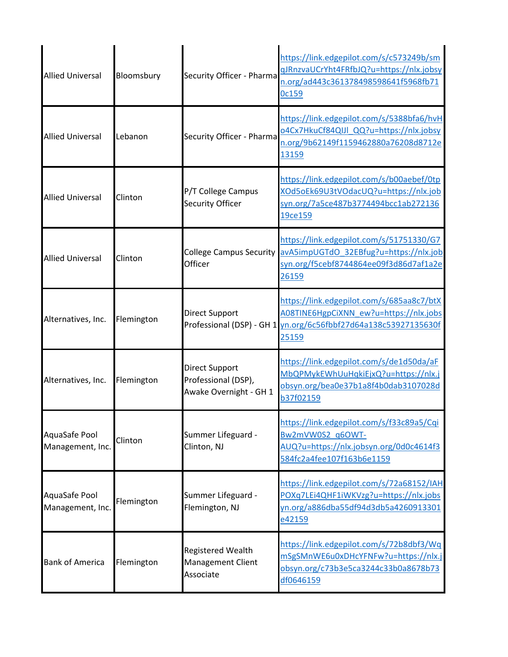| <b>Allied Universal</b>           | Bloomsbury | Security Officer - Pharma                                              | https://link.edgepilot.com/s/c573249b/sm<br>gJRnzvaUCrYht4FRfbJQ?u=https://nlx.jobsy<br>n.org/ad443c361378498598641f5968fb71<br>Oc159                           |
|-----------------------------------|------------|------------------------------------------------------------------------|-----------------------------------------------------------------------------------------------------------------------------------------------------------------|
| <b>Allied Universal</b>           | Lebanon    | Security Officer - Pharma                                              | https://link.edgepilot.com/s/5388bfa6/hvH<br>o4Cx7HkuCf84QIJI QQ?u=https://nlx.jobsy<br>n.org/9b62149f1159462880a76208d8712e<br>13159                           |
| <b>Allied Universal</b>           | Clinton    | P/T College Campus<br><b>Security Officer</b>                          | https://link.edgepilot.com/s/b00aebef/0tp<br>XOd5oEk69U3tVOdacUQ?u=https://nlx.job<br>syn.org/7a5ce487b3774494bcc1ab272136<br>19ce159                           |
| <b>Allied Universal</b>           | Clinton    | Officer                                                                | https://link.edgepilot.com/s/51751330/G7<br>College Campus Security avA5impUGTdO 32EBfug?u=https://nlx.job<br>syn.org/f5cebf8744864ee09f3d86d7af1a2e<br>26159   |
| Alternatives, Inc.                | Flemington | <b>Direct Support</b>                                                  | https://link.edgepilot.com/s/685aa8c7/btX<br>A08TINE6HgpCiXNN ew?u=https://nlx.jobs<br>Professional (DSP) - GH 1 yn.org/6c56fbbf27d64a138c53927135630f<br>25159 |
| Alternatives, Inc.                | Flemington | <b>Direct Support</b><br>Professional (DSP),<br>Awake Overnight - GH 1 | https://link.edgepilot.com/s/de1d50da/aF<br>MbQPMykEWhUuHqkiEjxQ?u=https://nlx.j<br>obsyn.org/bea0e37b1a8f4b0dab3107028d<br>b37f02159                           |
| AquaSafe Pool<br>Management, Inc. | Clinton    | Summer Lifeguard -<br>Clinton, NJ                                      | https://link.edgepilot.com/s/f33c89a5/Cqi<br>Bw2mVW0S2_q6OWT-<br>AUQ?u=https://nlx.jobsyn.org/0d0c4614f3<br>584fc2a4fee107f163b6e1159                           |
| AquaSafe Pool<br>Management, Inc. | Flemington | Summer Lifeguard -<br>Flemington, NJ                                   | https://link.edgepilot.com/s/72a68152/IAH<br>POXq7LEi4QHF1iWKVzg?u=https://nlx.jobs<br>yn.org/a886dba55df94d3db5a4260913301<br>e42159                           |
| <b>Bank of America</b>            | Flemington | Registered Wealth<br><b>Management Client</b><br>Associate             | https://link.edgepilot.com/s/72b8dbf3/Wq<br>mSgSMnWE6u0xDHcYFNFw?u=https://nlx.j<br>obsyn.org/c73b3e5ca3244c33b0a8678b73<br>df0646159                           |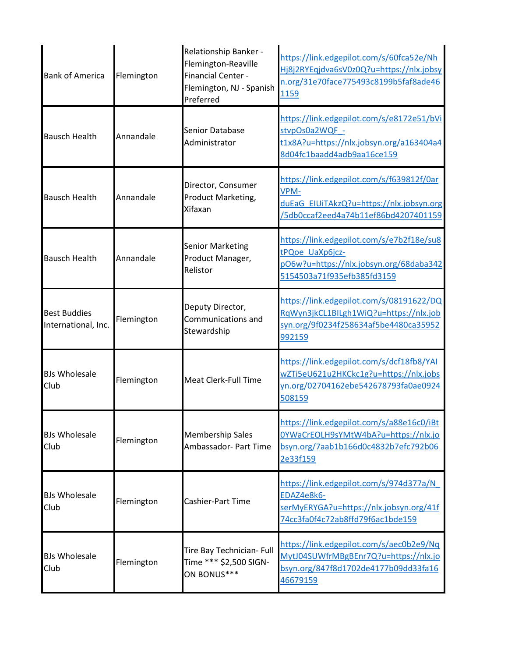| <b>Bank of America</b>                     | Flemington | Relationship Banker -<br>Flemington-Reaville<br><b>Financial Center -</b><br>Flemington, NJ - Spanish<br>Preferred | https://link.edgepilot.com/s/60fca52e/Nh<br>Hj8j2RYEqjdva6sV0z0Q?u=https://nlx.jobsy<br>n.org/31e70face775493c8199b5faf8ade46<br>1159 |
|--------------------------------------------|------------|--------------------------------------------------------------------------------------------------------------------|---------------------------------------------------------------------------------------------------------------------------------------|
| <b>Bausch Health</b>                       | Annandale  | Senior Database<br>Administrator                                                                                   | https://link.edgepilot.com/s/e8172e51/bVi<br>stvpOs0a2WQF -<br>t1x8A?u=https://nlx.jobsyn.org/a163404a4<br>8d04fc1baadd4adb9aa16ce159 |
| <b>Bausch Health</b>                       | Annandale  | Director, Consumer<br>Product Marketing,<br>Xifaxan                                                                | https://link.edgepilot.com/s/f639812f/0ar<br>VPM-<br>duEaG EIUiTAkzQ?u=https://nlx.jobsyn.org<br>/5db0ccaf2eed4a74b11ef86bd4207401159 |
| <b>Bausch Health</b>                       | Annandale  | <b>Senior Marketing</b><br>Product Manager,<br>Relistor                                                            | https://link.edgepilot.com/s/e7b2f18e/su8<br>tPQoe UaXp6jcz-<br>pO6w?u=https://nlx.jobsyn.org/68daba342<br>5154503a71f935efb385fd3159 |
| <b>Best Buddies</b><br>International, Inc. | Flemington | Deputy Director,<br>Communications and<br>Stewardship                                                              | https://link.edgepilot.com/s/08191622/DQ<br>RqWyn3jkCL1BILgh1WiQ?u=https://nlx.job<br>syn.org/9f0234f258634af5be4480ca35952<br>992159 |
| <b>BJs Wholesale</b><br>Club               | Flemington | <b>Meat Clerk-Full Time</b>                                                                                        | https://link.edgepilot.com/s/dcf18fb8/YAI<br>wZTi5eU621u2HKCkc1g?u=https://nlx.jobs<br>yn.org/02704162ebe542678793fa0ae0924<br>508159 |
| <b>BJs Wholesale</b><br>Club               | Flemington | <b>Membership Sales</b><br>Ambassador- Part Time                                                                   | https://link.edgepilot.com/s/a88e16c0/iBt<br>0YWaCrEOLH9sYMtW4bA?u=https://nlx.jo<br>bsyn.org/7aab1b166d0c4832b7efc792b06<br>2e33f159 |
| <b>BJs Wholesale</b><br>Club               | Flemington | Cashier-Part Time                                                                                                  | https://link.edgepilot.com/s/974d377a/N<br>EDAZ4e8k6-<br>serMyERYGA?u=https://nlx.jobsyn.org/41f<br>74cc3fa0f4c72ab8ffd79f6ac1bde159  |
| <b>BJs Wholesale</b><br>Club               | Flemington | Tire Bay Technician- Full<br>Time *** \$2,500 SIGN-<br>ON BONUS***                                                 | https://link.edgepilot.com/s/aec0b2e9/Nq<br>MytJ04SUWfrMBgBEnr7Q?u=https://nlx.jo<br>bsyn.org/847f8d1702de4177b09dd33fa16<br>46679159 |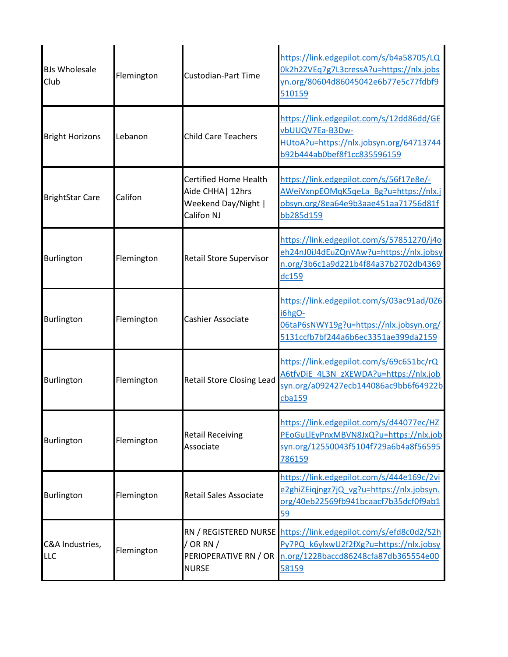| <b>BJs Wholesale</b><br>Club | Flemington | <b>Custodian-Part Time</b>                                                             | https://link.edgepilot.com/s/b4a58705/LQ<br>0k2h2ZVEq7g7L3cressA?u=https://nlx.jobs<br>yn.org/80604d86045042e6b77e5c77fdbf9<br>510159                       |
|------------------------------|------------|----------------------------------------------------------------------------------------|-------------------------------------------------------------------------------------------------------------------------------------------------------------|
| <b>Bright Horizons</b>       | Lebanon    | <b>Child Care Teachers</b>                                                             | https://link.edgepilot.com/s/12dd86dd/GE<br>vbUUQV7Ea-B3Dw-<br>HUtoA?u=https://nlx.jobsyn.org/64713744<br>b92b444ab0bef8f1cc835596159                       |
| <b>BrightStar Care</b>       | Califon    | <b>Certified Home Health</b><br>Aide CHHA   12hrs<br>Weekend Day/Night  <br>Califon NJ | https://link.edgepilot.com/s/56f17e8e/-<br>AWeiVxnpEOMqK5qeLa Bg?u=https://nlx.j<br>obsyn.org/8ea64e9b3aae451aa71756d81f<br>bb285d159                       |
| Burlington                   | Flemington | Retail Store Supervisor                                                                | https://link.edgepilot.com/s/57851270/j4o<br>eh24nJ0iJ4dEuZQnVAw?u=https://nlx.jobsy<br>n.org/3b6c1a9d221b4f84a37b2702db4369<br>dc159                       |
| Burlington                   | Flemington | Cashier Associate                                                                      | https://link.edgepilot.com/s/03ac91ad/0Z6<br>i6hgO-<br>06taP6sNWY19g?u=https://nlx.jobsyn.org/<br>5131ccfb7bf244a6b6ec3351ae399da2159                       |
| Burlington                   | Flemington | <b>Retail Store Closing Lead</b>                                                       | https://link.edgepilot.com/s/69c651bc/rQ<br>A6tfvDiE 4L3N zXEWDA?u=https://nlx.job<br>syn.org/a092427ecb144086ac9bb6f64922b<br>cba159                       |
| Burlington                   | Flemington | <b>Retail Receiving</b><br>Associate                                                   | https://link.edgepilot.com/s/d44077ec/HZ<br>PEoGuLIEyPnxMBVN8JxQ?u=https://nlx.job<br>syn.org/12550043f5104f729a6b4a8f56595<br>786159                       |
| Burlington                   | Flemington | <b>Retail Sales Associate</b>                                                          | https://link.edgepilot.com/s/444e169c/2vi<br>e2ghiZEiqjngz7jQ vg?u=https://nlx.jobsyn.<br>org/40eb22569fb941bcaacf7b35dcf0f9ab1<br>59                       |
| C&A Industries,<br>LLC       | Flemington | / OR RN $/$<br>PERIOPERATIVE RN / OR<br><b>NURSE</b>                                   | RN / REGISTERED NURSE https://link.edgepilot.com/s/efd8c0d2/S2h<br>Py7PQ k6ylxwU2f2fXg?u=https://nlx.jobsy<br>n.org/1228baccd86248cfa87db365554e00<br>58159 |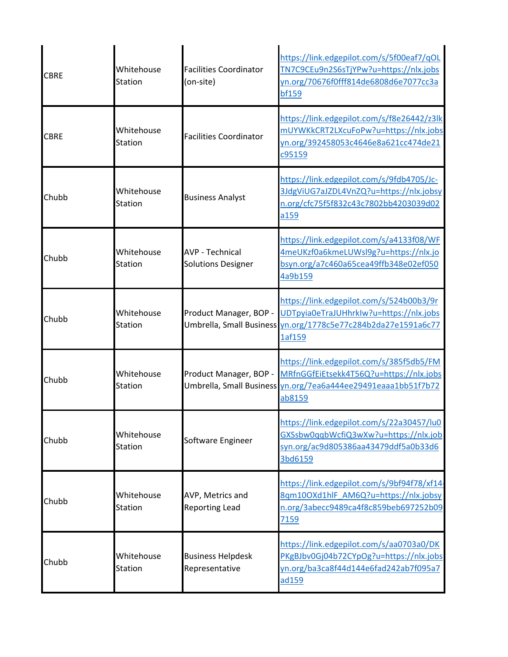| <b>CBRE</b> | Whitehouse<br>Station        | <b>Facilities Coordinator</b><br>(on-site)          | https://link.edgepilot.com/s/5f00eaf7/qOL<br>TN7C9CEu9n2S6sTjYPw?u=https://nlx.jobs<br>yn.org/70676f0fff814de6808d6e7077cc3a<br><b>bf159</b>                                          |
|-------------|------------------------------|-----------------------------------------------------|---------------------------------------------------------------------------------------------------------------------------------------------------------------------------------------|
| <b>CBRE</b> | Whitehouse<br>Station        | <b>Facilities Coordinator</b>                       | https://link.edgepilot.com/s/f8e26442/z3lk<br>mUYWKkCRT2LXcuFoPw?u=https://nlx.jobs<br>yn.org/392458053c4646e8a621cc474de21<br>c95159                                                 |
| Chubb       | Whitehouse<br>Station        | <b>Business Analyst</b>                             | https://link.edgepilot.com/s/9fdb4705/Jc-<br>3JdgViUG7aJZDL4VnZQ?u=https://nlx.jobsy<br>n.org/cfc75f5f832c43c7802bb4203039d02<br>a159                                                 |
| Chubb       | Whitehouse<br>Station        | <b>AVP - Technical</b><br><b>Solutions Designer</b> | https://link.edgepilot.com/s/a4133f08/WF<br>4meUKzf0a6kmeLUWsl9g?u=https://nlx.jo<br>bsyn.org/a7c460a65cea49ffb348e02ef050<br>4a9b159                                                 |
| Chubb       | Whitehouse<br>Station        |                                                     | https://link.edgepilot.com/s/524b00b3/9r<br>Product Manager, BOP - UDTpyia0eTraJUHhrkIw?u=https://nlx.jobs<br>Umbrella, Small Business yn.org/1778c5e77c284b2da27e1591a6c77<br>1af159 |
| Chubb       | Whitehouse<br><b>Station</b> | Product Manager, BOP -                              | https://link.edgepilot.com/s/385f5db5/FM<br>MRfnGGfEiEtsekk4T56Q?u=https://nlx.jobs<br>Umbrella, Small Business yn.org/7ea6a444ee29491eaaa1bb51f7b72<br>ab8159                        |
| Chubb       | Whitehouse<br>Station        | Software Engineer                                   | https://link.edgepilot.com/s/22a30457/lu0<br>GXSsbw0qqbWcfiQ3wXw?u=https://nlx.job<br>syn.org/ac9d805386aa43479ddf5a0b33d6<br>3bd6159                                                 |
| Chubb       | Whitehouse<br><b>Station</b> | AVP, Metrics and<br><b>Reporting Lead</b>           | https://link.edgepilot.com/s/9bf94f78/xf14-<br>8qm10OXd1hlF AM6Q?u=https://nlx.jobsy<br>n.org/3abecc9489ca4f8c859beb697252b09<br>7159                                                 |
| Chubb       | Whitehouse<br>Station        | <b>Business Helpdesk</b><br>Representative          | https://link.edgepilot.com/s/aa0703a0/DK<br>PKgBJbv0Gj04b72CYpOg?u=https://nlx.jobs<br>yn.org/ba3ca8f44d144e6fad242ab7f095a7<br>ad159                                                 |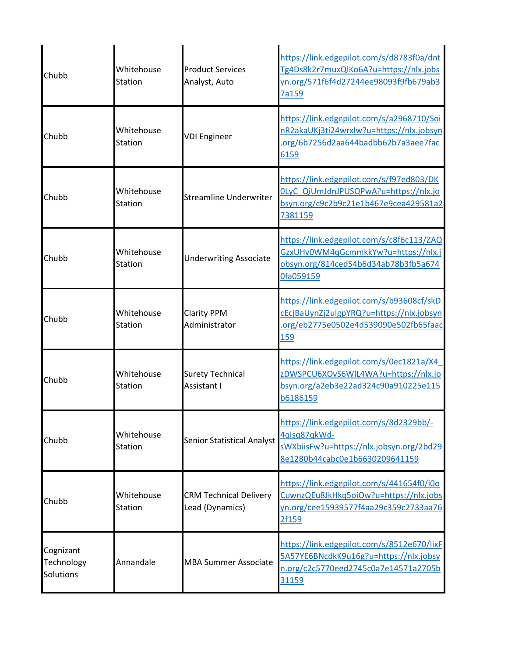| Chubb                                | Whitehouse<br>Station        | <b>Product Services</b><br>Analyst, Auto         | https://link.edgepilot.com/s/d8783f0a/dnt<br>Tg4Ds8k2r7muxQlKo6A?u=https://nlx.jobs<br>yn.org/571f6f4d27244ee98093f9fb679ab3<br>7a159        |
|--------------------------------------|------------------------------|--------------------------------------------------|----------------------------------------------------------------------------------------------------------------------------------------------|
| Chubb                                | Whitehouse<br>Station        | <b>VDI Engineer</b>                              | https://link.edgepilot.com/s/a2968710/Soi<br>nR2akaUKj3ti24wrxIw?u=https://nlx.jobsyn<br>.org/6b7256d2aa644badbb62b7a3aee7fac<br>6159        |
| Chubb                                | Whitehouse<br>Station        | <b>Streamline Underwriter</b>                    | https://link.edgepilot.com/s/f97ed803/DK<br>OLyC QiUmJdnJPUSQPwA?u=https://nlx.jo<br>bsyn.org/c9c2b9c21e1b467e9cea429581a2<br>7381159        |
| Chubb                                | Whitehouse<br>Station        | <b>Underwriting Associate</b>                    | https://link.edgepilot.com/s/c8f6c113/ZAQ<br>GzxUHv0WM4qGcmmkkYw?u=https://nlx.<br>obsyn.org/814ced54b6d34ab78b3fb5a674<br>Ofa059159         |
| Chubb                                | Whitehouse<br><b>Station</b> | <b>Clarity PPM</b><br>Administrator              | https://link.edgepilot.com/s/b93608cf/skD<br>cEcjBaUynZj2uIgpYRQ?u=https://nlx.jobsyn<br>.org/eb2775e0502e4d539090e502fb65faac<br><b>159</b> |
| Chubb                                | Whitehouse<br>Station        | <b>Surety Technical</b><br>Assistant I           | https://link.edgepilot.com/s/0ec1821a/X4<br>zDWSPCU6XOvS6WIL4WA?u=https://nlx.jo<br>bsyn.org/a2eb3e22ad324c90a910225e115<br>b6186159         |
| Chubb                                | Whitehouse<br><b>Station</b> | <b>Senior Statistical Analyst</b>                | https://link.edgepilot.com/s/8d2329bb/-<br>4qlsq87qkWd-<br>sWXbiisFw?u=https://nlx.jobsyn.org/2bd29<br>8e1280b44cabc0e1b6630209641159        |
| Chubb                                | Whitehouse<br><b>Station</b> | <b>CRM Technical Delivery</b><br>Lead (Dynamics) | https://link.edgepilot.com/s/441654f0/i0o<br>CuwnzQEu8JkHkq5oiOw?u=https://nlx.jobs<br>yn.org/cee15939577f4aa29c359c2733aa76<br>2f159        |
| Cognizant<br>Technology<br>Solutions | Annandale                    | <b>MBA Summer Associate</b>                      | https://link.edgepilot.com/s/8512e670/lixF<br>5A57YE6BNcdkK9u16g?u=https://nlx.jobsy<br>n.org/c2c5770eed2745c0a7e14571a2705b<br>31159        |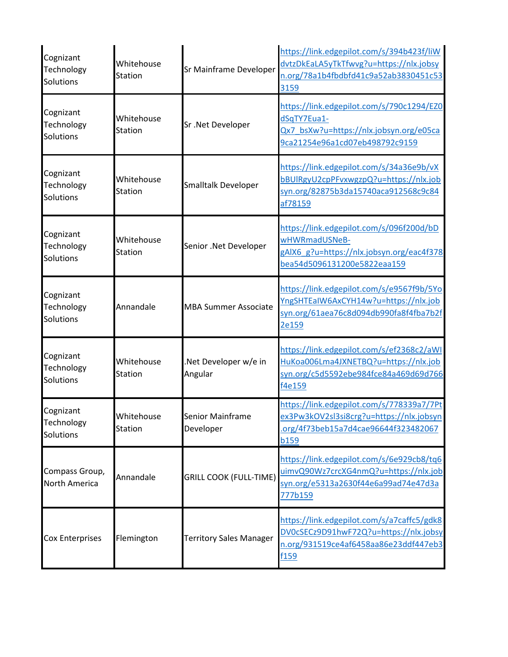| Cognizant<br>Technology<br>Solutions | Whitehouse<br>Station        | Sr Mainframe Developer          | https://link.edgepilot.com/s/394b423f/liW<br>dvtzDkEaLA5yTkTfwvg?u=https://nlx.jobsy<br>n.org/78a1b4fbdbfd41c9a52ab3830451c53<br>3159             |
|--------------------------------------|------------------------------|---------------------------------|---------------------------------------------------------------------------------------------------------------------------------------------------|
| Cognizant<br>Technology<br>Solutions | Whitehouse<br><b>Station</b> | Sr.Net Developer                | https://link.edgepilot.com/s/790c1294/EZ0<br>dSqTY7Eua1-<br>Qx7 bsXw?u=https://nlx.jobsyn.org/e05ca<br>9ca21254e96a1cd07eb498792c9159             |
| Cognizant<br>Technology<br>Solutions | Whitehouse<br><b>Station</b> | Smalltalk Developer             | https://link.edgepilot.com/s/34a36e9b/vX<br>bBUlRgyU2cpPFvxwgzpQ?u=https://nlx.job<br>syn.org/82875b3da15740aca912568c9c84<br>af78159             |
| Cognizant<br>Technology<br>Solutions | Whitehouse<br><b>Station</b> | Senior .Net Developer           | https://link.edgepilot.com/s/096f200d/bD<br>wHWRmadUSNeB-<br>gAIX6 g?u=https://nlx.jobsyn.org/eac4f378<br>bea54d5096131200e5822eaa159             |
| Cognizant<br>Technology<br>Solutions | Annandale                    | <b>MBA Summer Associate</b>     | https://link.edgepilot.com/s/e9567f9b/5Yo<br>YngSHTEaIW6AxCYH14w?u=https://nlx.job<br>syn.org/61aea76c8d094db990fa8f4fba7b2f<br>2e159             |
| Cognizant<br>Technology<br>Solutions | Whitehouse<br>Station        | Net Developer w/e in<br>Angular | https://link.edgepilot.com/s/ef2368c2/aWI<br>HuKoa006Lma4JXNETBQ?u=https://nlx.job<br>syn.org/c5d5592ebe984fce84a469d69d766<br>f4e159             |
| Cognizant<br>Technology<br>Solutions | Whitehouse<br>Station        | Senior Mainframe<br>Developer   | https://link.edgepilot.com/s/778339a7/7Pt<br>ex3Pw3kOV2sl3si8crg?u=https://nlx.jobsyn<br>org/4f73beb15a7d4cae96644f323482067<br><b>b159</b>       |
| Compass Group,<br>North America      | Annandale                    | <b>GRILL COOK (FULL-TIME)</b>   | https://link.edgepilot.com/s/6e929cb8/tq6<br>uimvQ90Wz7crcXG4nmQ?u=https://nlx.job<br>syn.org/e5313a2630f44e6a99ad74e47d3a<br>777b159             |
| Cox Enterprises                      | Flemington                   | <b>Territory Sales Manager</b>  | https://link.edgepilot.com/s/a7caffc5/gdk8<br>DV0cSECz9D91hwF72Q?u=https://nlx.jobsy<br>n.org/931519ce4af6458aa86e23ddf447eb3<br>f <sub>159</sub> |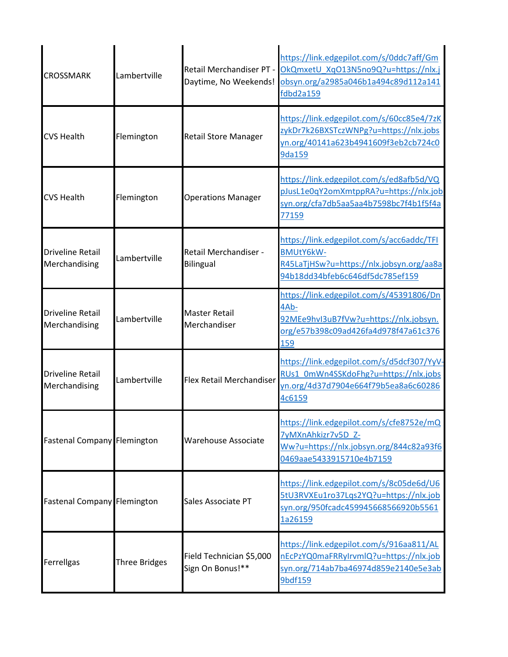| <b>CROSSMARK</b>                         | Lambertville         |                                              | https://link.edgepilot.com/s/0ddc7aff/Gm<br>Retail Merchandiser PT - OkQmxetU XqO13N5no9Q?u=https://nlx.j<br>Daytime, No Weekends! obsyn.org/a2985a046b1a494c89d112a141<br>fdbd2a159 |
|------------------------------------------|----------------------|----------------------------------------------|--------------------------------------------------------------------------------------------------------------------------------------------------------------------------------------|
| <b>CVS Health</b>                        | Flemington           | <b>Retail Store Manager</b>                  | https://link.edgepilot.com/s/60cc85e4/7zK<br>zykDr7k26BXSTczWNPg?u=https://nlx.jobs<br>yn.org/40141a623b4941609f3eb2cb724c0<br>9da159                                                |
| <b>CVS Health</b>                        | Flemington           | <b>Operations Manager</b>                    | https://link.edgepilot.com/s/ed8afb5d/VQ<br>pJusL1e0qY2omXmtppRA?u=https://nlx.job<br>syn.org/cfa7db5aa5aa4b7598bc7f4b1f5f4a<br>77159                                                |
| <b>Driveline Retail</b><br>Merchandising | Lambertville         | <b>Retail Merchandiser -</b><br>Bilingual    | https://link.edgepilot.com/s/acc6addc/TFI<br><b>BMUtY6kW-</b><br>R45LaTjHSw?u=https://nlx.jobsyn.org/aa8a<br>94b18dd34bfeb6c646df5dc785ef159                                         |
| <b>Driveline Retail</b><br>Merchandising | Lambertville         | <b>Master Retail</b><br>Merchandiser         | https://link.edgepilot.com/s/45391806/Dn<br>4Ab-<br>92MEe9hvI3uB7fVw?u=https://nlx.jobsyn.<br>org/e57b398c09ad426fa4d978f47a61c376<br>159                                            |
| <b>Driveline Retail</b><br>Merchandising | Lambertville         | Flex Retail Merchandiser                     | https://link.edgepilot.com/s/d5dcf307/YyV-<br>RUs1 0mWn4SSKdoFhg?u=https://nlx.jobs<br>yn.org/4d37d7904e664f79b5ea8a6c60286<br>4c6159                                                |
| Fastenal Company Flemington              |                      | <b>Warehouse Associate</b>                   | https://link.edgepilot.com/s/cfe8752e/mQ<br>7yMXnAhkizr7v5D_Z-<br>Ww?u=https://nlx.jobsyn.org/844c82a93f6<br>0469aae5433915710e4b7159                                                |
| Fastenal Company Flemington              |                      | Sales Associate PT                           | https://link.edgepilot.com/s/8c05de6d/U6<br>5tU3RVXEu1ro37Lqs2YQ?u=https://nlx.job<br>syn.org/950fcadc459945668566920b5561<br>1a26159                                                |
| Ferrellgas                               | <b>Three Bridges</b> | Field Technician \$5,000<br>Sign On Bonus!** | https://link.edgepilot.com/s/916aa811/AL<br>nEcPzYQ0maFRRyIrvmlQ?u=https://nlx.job<br>syn.org/714ab7ba46974d859e2140e5e3ab<br>9bdf159                                                |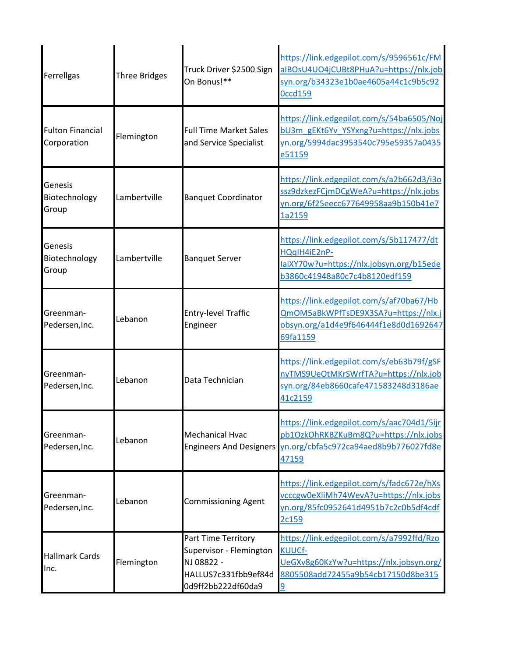| Ferrellgas                             | <b>Three Bridges</b> | Truck Driver \$2500 Sign<br>On Bonus!**                                                                    | https://link.edgepilot.com/s/9596561c/FM<br>aIBOsU4UO4jCUBt8PHuA?u=https://nlx.job<br>syn.org/b34323e1b0ae4605a44c1c9b5c92<br><b>Occd159</b> |
|----------------------------------------|----------------------|------------------------------------------------------------------------------------------------------------|----------------------------------------------------------------------------------------------------------------------------------------------|
| <b>Fulton Financial</b><br>Corporation | Flemington           | <b>Full Time Market Sales</b><br>and Service Specialist                                                    | https://link.edgepilot.com/s/54ba6505/Noj<br>bU3m gEKt6Yv YSYxng?u=https://nlx.jobs<br>yn.org/5994dac3953540c795e59357a0435<br>e51159        |
| Genesis<br>Biotechnology<br>Group      | Lambertville         | <b>Banquet Coordinator</b>                                                                                 | https://link.edgepilot.com/s/a2b662d3/i3o<br>ssz9dzkezFCjmDCgWeA?u=https://nlx.jobs<br>yn.org/6f25eecc677649958aa9b150b41e7<br>1a2159        |
| Genesis<br>Biotechnology<br>Group      | Lambertville         | <b>Banquet Server</b>                                                                                      | https://link.edgepilot.com/s/5b117477/dt<br>HQqIH4iE2nP-<br>laiXY70w?u=https://nlx.jobsyn.org/b15ede<br>b3860c41948a80c7c4b8120edf159        |
| Greenman-<br>Pedersen, Inc.            | Lebanon              | <b>Entry-level Traffic</b><br>Engineer                                                                     | https://link.edgepilot.com/s/af70ba67/Hb<br>QmOM5aBkWPfTsDE9X3SA?u=https://nlx.j<br>obsyn.org/a1d4e9f646444f1e8d0d1692647<br>69fa1159        |
| Greenman-<br>Pedersen, Inc.            | Lebanon              | Data Technician                                                                                            | https://link.edgepilot.com/s/eb63b79f/gSF<br>nyTMS9UeOtMKrSWrfTA?u=https://nlx.job<br>syn.org/84eb8660cafe471583248d3186ae<br>41c2159        |
| Greenman-<br>Pedersen, Inc.            | Lebanon              | <b>Mechanical Hvac</b><br><b>Engineers And Designers</b>                                                   | https://link.edgepilot.com/s/aac704d1/5ijr<br>pb1OzkOhRKBZKuBm8Q?u=https://nlx.jobs<br>yn.org/cbfa5c972ca94aed8b9b776027fd8e<br>47159        |
| Greenman-<br>Pedersen, Inc.            | Lebanon              | <b>Commissioning Agent</b>                                                                                 | https://link.edgepilot.com/s/fadc672e/hXs<br>vcccgw0eXliMh74WevA?u=https://nlx.jobs<br>yn.org/85fc0952641d4951b7c2c0b5df4cdf<br>2c159        |
| <b>Hallmark Cards</b><br>Inc.          | Flemington           | Part Time Territory<br>Supervisor - Flemington<br>NJ 08822 -<br>HALLUS7c331fbb9ef84d<br>0d9ff2bb222df60da9 | https://link.edgepilot.com/s/a7992ffd/Rzo<br>KUUCf-<br>UeGXv8g60KzYw?u=https://nlx.jobsyn.org/<br>8805508add72455a9b54cb17150d8be315<br>9    |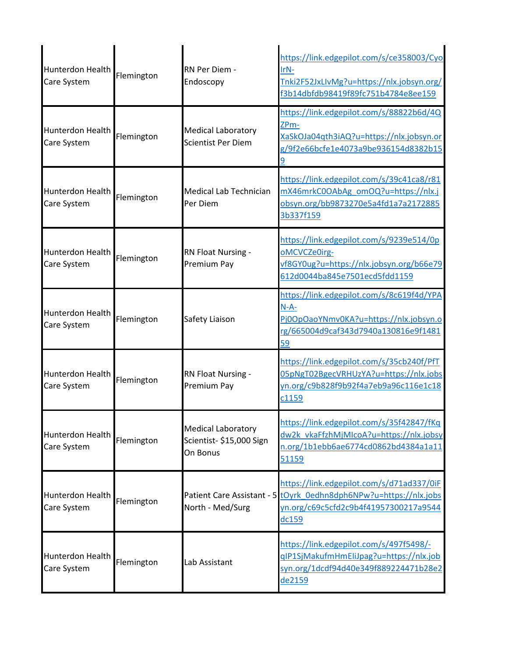| <b>Hunterdon Health</b><br>Care System | Flemington | RN Per Diem -<br>Endoscopy                                        | https://link.edgepilot.com/s/ce358003/Cyo<br>IrN-<br>Tnki2F52JxLIvMg?u=https://nlx.jobsyn.org/<br>f3b14dbfdb98419f89fc751b4784e8ee159                            |
|----------------------------------------|------------|-------------------------------------------------------------------|------------------------------------------------------------------------------------------------------------------------------------------------------------------|
| <b>Hunterdon Health</b><br>Care System | Flemington | <b>Medical Laboratory</b><br>Scientist Per Diem                   | https://link.edgepilot.com/s/88822b6d/4Q<br>ZP <sub>m</sub> -<br>XaSkOJa04qth3iAQ?u=https://nlx.jobsyn.or<br>g/9f2e66bcfe1e4073a9be936154d8382b15                |
| <b>Hunterdon Health</b><br>Care System | Flemington | Medical Lab Technician<br>Per Diem                                | https://link.edgepilot.com/s/39c41ca8/r81<br>mX46mrkC0OAbAg omOQ?u=https://nlx.j<br>obsyn.org/bb9873270e5a4fd1a7a2172885<br>3b337f159                            |
| Hunterdon Health<br>Care System        | Flemington | <b>RN Float Nursing -</b><br>Premium Pay                          | https://link.edgepilot.com/s/9239e514/0p<br>oMCVCZe0irg-<br>vf8GY0ug?u=https://nlx.jobsyn.org/b66e79<br>612d0044ba845e7501ecd5fdd1159                            |
| Hunterdon Health<br>Care System        | Flemington | Safety Liaison                                                    | https://link.edgepilot.com/s/8c619f4d/YPA<br>$N-A-$<br>Pj0OpOaoYNmv0KA?u=https://nlx.jobsyn.o<br>rg/665004d9caf343d7940a130816e9f1481<br>59                      |
| Hunterdon Health<br>Care System        | Flemington | <b>RN Float Nursing -</b><br><b>Premium Pay</b>                   | https://link.edgepilot.com/s/35cb240f/PfT<br>05pNgT02BgecVRHUzYA?u=https://nlx.jobs<br>yn.org/c9b828f9b92f4a7eb9a96c116e1c18<br>c1159                            |
| Hunterdon Health<br>Care System        | Flemington | <b>Medical Laboratory</b><br>Scientist- \$15,000 Sign<br>On Bonus | https://link.edgepilot.com/s/35f42847/fKq<br>dw2k_vkaFfzhMjMIcoA?u=https://nlx.jobsy<br>n.org/1b1ebb6ae6774cd0862bd4384a1a11<br>51159                            |
| Hunterdon Health<br>Care System        | Flemington | North - Med/Surg                                                  | https://link.edgepilot.com/s/d71ad337/0iF<br>Patient Care Assistant - 5 tOyrk 0edhn8dph6NPw?u=https://nlx.jobs<br>yn.org/c69c5cfd2c9b4f41957300217a9544<br>dc159 |
| Hunterdon Health<br>Care System        | Flemington | Lab Assistant                                                     | https://link.edgepilot.com/s/497f5498/-<br>gIP1SjMakufmHmEliJpag?u=https://nlx.job<br>syn.org/1dcdf94d40e349f889224471b28e2<br>de2159                            |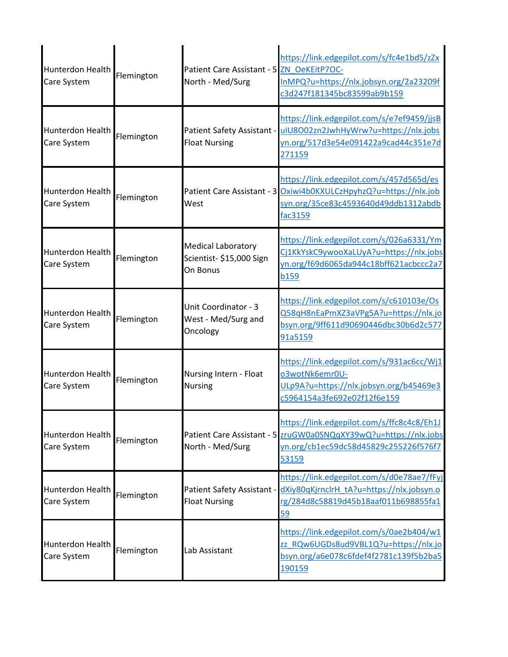| Hunterdon Health<br>Care System        | Flemington | Patient Care Assistant - 5 ZN OeKEitP7OC-<br>North - Med/Surg     | https://link.edgepilot.com/s/fc4e1bd5/zZx<br>InMPQ?u=https://nlx.jobsyn.org/2a23209f<br>c3d247f181345bc83599ab9b159                                              |
|----------------------------------------|------------|-------------------------------------------------------------------|------------------------------------------------------------------------------------------------------------------------------------------------------------------|
| Hunterdon Health<br>Care System        | Flemington | <b>Float Nursing</b>                                              | https://link.edgepilot.com/s/e7ef9459/jjsB<br>Patient Safety Assistant - uIU8002zn2JwhHyWrw?u=https://nlx.jobs<br>yn.org/517d3e54e091422a9cad44c351e7d<br>271159 |
| Hunterdon Health<br>Care System        | Flemington | West                                                              | https://link.edgepilot.com/s/457d565d/es<br>Patient Care Assistant - 3 Oxiwi4b0KXULCzHpyhzQ?u=https://nlx.job<br>syn.org/35ce83c4593640d49ddb1312abdb<br>fac3159 |
| Hunterdon Health<br>Care System        | Flemington | <b>Medical Laboratory</b><br>Scientist- \$15,000 Sign<br>On Bonus | https://link.edgepilot.com/s/026a6331/Ym<br>Cj1KkYskC9ywooXaLUyA?u=https://nlx.jobs<br>yn.org/f69d6065da944c18bff621acbccc2a7<br><b>b159</b>                     |
| Hunterdon Health<br>Care System        | Flemington | Unit Coordinator - 3<br>West - Med/Surg and<br>Oncology           | https://link.edgepilot.com/s/c610103e/Os<br>Q58qH8nEaPmXZ3aVPg5A?u=https://nlx.jo<br>bsyn.org/9ff611d90690446dbc30b6d2c577<br>91a5159                            |
| <b>Hunterdon Health</b><br>Care System | Flemington | Nursing Intern - Float<br><b>Nursing</b>                          | https://link.edgepilot.com/s/931ac6cc/Wj1<br>o3wotNk6emr0U-<br>ULp9A?u=https://nlx.jobsyn.org/b45469e3<br>c5964154a3fe692e02f12f6e159                            |
| Hunterdon Health<br>Care System        | Flemington | North - Med/Surg                                                  | https://link.edgepilot.com/s/ffc8c4c8/Eh1J<br>Patient Care Assistant - 5 zruGW0a0SNQqXY39wQ?u=https://nlx.jobs<br>yn.org/cb1ec59dc58d45829c255226f576f7<br>53159 |
| <b>Hunterdon Health</b><br>Care System | Flemington | Patient Safety Assistant -<br><b>Float Nursing</b>                | https://link.edgepilot.com/s/d0e78ae7/fFyj<br>dXiy80qKjrnclrH tA?u=https://nlx.jobsyn.o<br>rg/284d8c58819d45b18aaf011b698855fa1<br>59                            |
| Hunterdon Health<br>Care System        | Flemington | Lab Assistant                                                     | https://link.edgepilot.com/s/0ae2b404/w1<br>zz RQw6UGDs8ud9VBL1Q?u=https://nlx.jo<br>bsyn.org/a6e078c6fdef4f2781c139f5b2ba5<br>190159                            |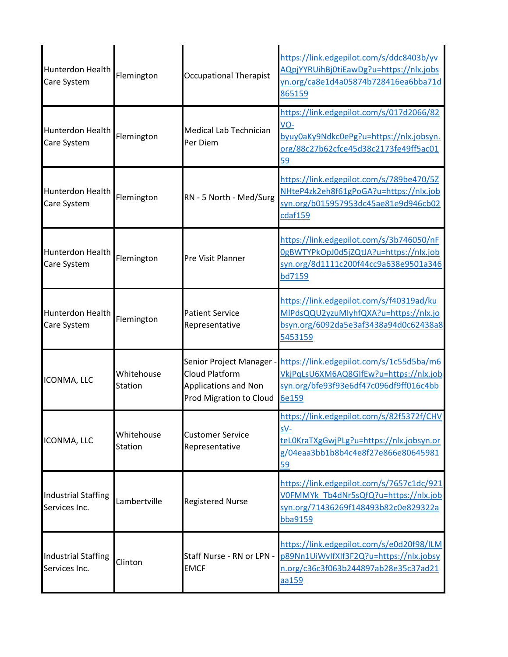| Hunterdon Health<br>Care System             | Flemington            | <b>Occupational Therapist</b>                                                                 | https://link.edgepilot.com/s/ddc8403b/yv<br>AQpjYYRUihBj0tiEawDg?u=https://nlx.jobs<br>yn.org/ca8e1d4a05874b728416ea6bba71d<br>865159     |
|---------------------------------------------|-----------------------|-----------------------------------------------------------------------------------------------|-------------------------------------------------------------------------------------------------------------------------------------------|
| <b>Hunterdon Health</b><br>Care System      | Flemington            | <b>Medical Lab Technician</b><br>Per Diem                                                     | https://link.edgepilot.com/s/017d2066/82<br>VO-<br>byuy0aKy9Ndkc0ePg?u=https://nlx.jobsyn.<br>org/88c27b62cfce45d38c2173fe49ff5ac01<br>59 |
| <b>Hunterdon Health</b><br>Care System      | Flemington            | RN - 5 North - Med/Surg                                                                       | https://link.edgepilot.com/s/789be470/5Z<br>NHteP4zk2eh8f61gPoGA?u=https://nlx.job<br>syn.org/b015957953dc45ae81e9d946cb02<br>cdaf159     |
| <b>Hunterdon Health</b><br>Care System      | Flemington            | Pre Visit Planner                                                                             | https://link.edgepilot.com/s/3b746050/nF<br>0gBWTYPkOpJ0d5jZQtJA?u=https://nlx.job<br>syn.org/8d1111c200f44cc9a638e9501a346<br>bd7159     |
| <b>Hunterdon Health</b><br>Care System      | Flemington            | <b>Patient Service</b><br>Representative                                                      | https://link.edgepilot.com/s/f40319ad/ku<br>MIPdsQQU2yzuMIyhfQXA?u=https://nlx.jo<br>bsyn.org/6092da5e3af3438a94d0c62438a8<br>5453159     |
| ICONMA, LLC                                 | Whitehouse<br>Station | Senior Project Manager -<br>Cloud Platform<br>Applications and Non<br>Prod Migration to Cloud | https://link.edgepilot.com/s/1c55d5ba/m6<br>VkjPqLsU6XM6AQ8GIfEw?u=https://nlx.job<br>syn.org/bfe93f93e6df47c096df9ff016c4bb<br>6e159     |
| ICONMA, LLC                                 | Whitehouse<br>Station | <b>Customer Service</b><br>Representative                                                     | https://link.edgepilot.com/s/82f5372f/CHV<br>sV-<br>teL0KraTXgGwjPLg?u=https://nlx.jobsyn.or<br>g/04eaa3bb1b8b4c4e8f27e866e80645981<br>59 |
| <b>Industrial Staffing</b><br>Services Inc. | Lambertville          | <b>Registered Nurse</b>                                                                       | https://link.edgepilot.com/s/7657c1dc/921<br>V0FMMYk Tb4dNr5sQfQ?u=https://nlx.job<br>syn.org/71436269f148493b82c0e829322a<br>bba9159     |
| <b>Industrial Staffing</b><br>Services Inc. | Clinton               | Staff Nurse - RN or LPN -<br><b>EMCF</b>                                                      | https://link.edgepilot.com/s/e0d20f98/ILM<br>p89Nn1UiWvlfXlf3F2Q?u=https://nlx.jobsy<br>n.org/c36c3f063b244897ab28e35c37ad21<br>aa159     |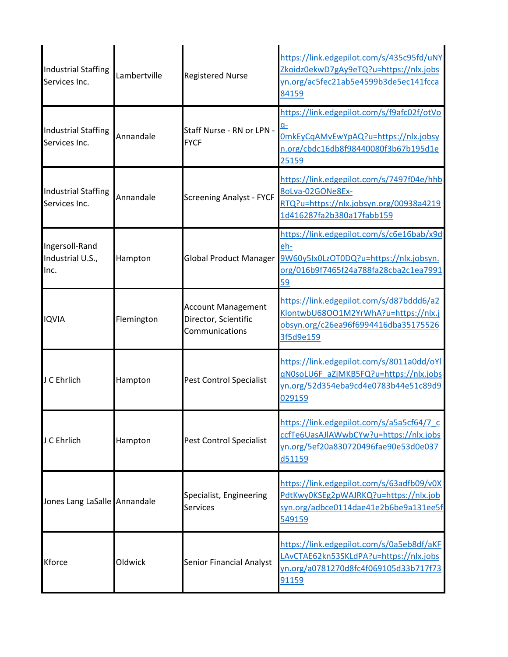| <b>Industrial Staffing</b><br>Services Inc. | Lambertville | <b>Registered Nurse</b>                                             | https://link.edgepilot.com/s/435c95fd/uNY<br>Zkoidz0ekwD7gAy9eTQ?u=https://nlx.jobs<br>yn.org/ac5fec21ab5e4599b3de5ec141fcca<br>84159     |
|---------------------------------------------|--------------|---------------------------------------------------------------------|-------------------------------------------------------------------------------------------------------------------------------------------|
| <b>Industrial Staffing</b><br>Services Inc. | Annandale    | Staff Nurse - RN or LPN -<br><b>FYCF</b>                            | https://link.edgepilot.com/s/f9afc02f/otVo<br>OmkEyCqAMvEwYpAQ?u=https://nlx.jobsy<br>n.org/cbdc16db8f98440080f3b67b195d1e<br>25159       |
| <b>Industrial Staffing</b><br>Services Inc. | Annandale    | <b>Screening Analyst - FYCF</b>                                     | https://link.edgepilot.com/s/7497f04e/hhb<br>8oLva-02GONe8Ex-<br>RTQ?u=https://nlx.jobsyn.org/00938a4219<br>1d416287fa2b380a17fabb159     |
| Ingersoll-Rand<br>Industrial U.S.,<br>Inc.  | Hampton      | <b>Global Product Manager</b>                                       | https://link.edgepilot.com/s/c6e16bab/x9d<br>eh-<br>9W60y5Ix0LzOT0DQ?u=https://nlx.jobsyn.<br>org/016b9f7465f24a788fa28cba2c1ea7991<br>59 |
| <b>IQVIA</b>                                | Flemington   | <b>Account Management</b><br>Director, Scientific<br>Communications | https://link.edgepilot.com/s/d87bddd6/a2<br>KlontwbU68001M2YrWhA?u=https://nlx.j<br>obsyn.org/c26ea96f6994416dba35175526<br>3f5d9e159     |
| J C Ehrlich                                 | Hampton      | Pest Control Specialist                                             | https://link.edgepilot.com/s/8011a0dd/oYl<br>qN0soLU6F aZjMKB5FQ?u=https://nlx.jobs<br>yn.org/52d354eba9cd4e0783b44e51c89d9<br>029159     |
| J C Ehrlich                                 | Hampton      | <b>Pest Control Specialist</b>                                      | https://link.edgepilot.com/s/a5a5cf64/7 c<br>ccfTe6UasAJlAWwbCYw?u=https://nlx.jobs<br>yn.org/5ef20a830720496fae90e53d0e037<br>d51159     |
| Jones Lang LaSalle Annandale                |              | Specialist, Engineering<br><b>Services</b>                          | https://link.edgepilot.com/s/63adfb09/v0X<br>PdtKwy0KSEg2pWAJRKQ?u=https://nlx.job<br>syn.org/adbce0114dae41e2b6be9a131ee5f<br>549159     |
| <b>Kforce</b>                               | Oldwick      | <b>Senior Financial Analyst</b>                                     | https://link.edgepilot.com/s/0a5eb8df/aKF<br>LAvCTAE62kn53SKLdPA?u=https://nlx.jobs<br>yn.org/a0781270d8fc4f069105d33b717f73<br>91159     |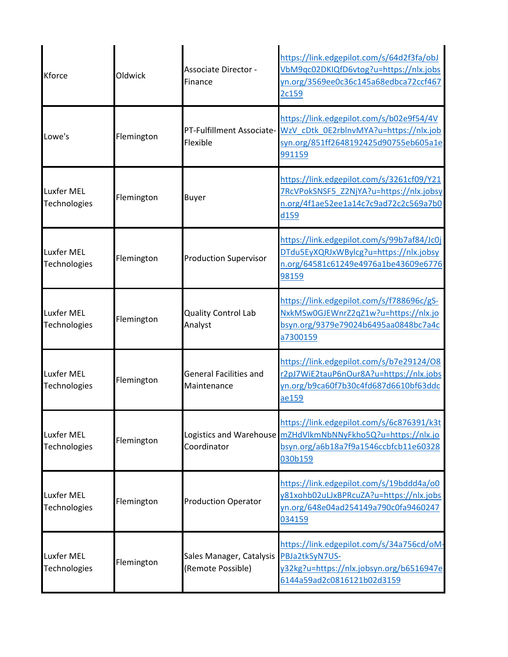| <b>Kforce</b>                     | Oldwick    | Associate Director -<br>Finance               | https://link.edgepilot.com/s/64d2f3fa/obJ<br>VbM9qc02DKIQfD6vtog?u=https://nlx.jobs<br>yn.org/3569ee0c36c145a68edbca72ccf467<br>2c159                           |
|-----------------------------------|------------|-----------------------------------------------|-----------------------------------------------------------------------------------------------------------------------------------------------------------------|
| Lowe's                            | Flemington | Flexible                                      | https://link.edgepilot.com/s/b02e9f54/4V<br>PT-Fulfillment Associate- WzV cDtk 0E2rblnvMYA?u=https://nlx.job<br>syn.org/851ff2648192425d90755eb605a1e<br>991159 |
| <b>Luxfer MEL</b><br>Technologies | Flemington | <b>Buyer</b>                                  | https://link.edgepilot.com/s/3261cf09/Y21<br>7RcVPokSNSF5 Z2NjYA?u=https://nlx.jobsy<br>n.org/4f1ae52ee1a14c7c9ad72c2c569a7b0<br>d159                           |
| <b>Luxfer MEL</b><br>Technologies | Flemington | <b>Production Supervisor</b>                  | https://link.edgepilot.com/s/99b7af84/Jc0j<br>DTdu5EyXQRJxWBylcg?u=https://nlx.jobsy<br>n.org/64581c61249e4976a1be43609e6776<br>98159                           |
| <b>Luxfer MEL</b><br>Technologies | Flemington | <b>Quality Control Lab</b><br>Analyst         | https://link.edgepilot.com/s/f788696c/gS-<br>NxkMSw0GJEWnrZ2qZ1w?u=https://nlx.jo<br>bsyn.org/9379e79024b6495aa0848bc7a4c<br>a7300159                           |
| <b>Luxfer MEL</b><br>Technologies | Flemington | <b>General Facilities and</b><br>Maintenance  | https://link.edgepilot.com/s/b7e29124/08<br>r2pJ7WiE2tauP6nOur8A?u=https://nlx.jobs<br>yn.org/b9ca60f7b30c4fd687d6610bf63ddc<br>ae159                           |
| <b>Luxfer MEL</b><br>Technologies | Flemington | Coordinator                                   | https://link.edgepilot.com/s/6c876391/k3t<br>Logistics and Warehouse mZHdVlkmNbNNyFkho5Q?u=https://nlx.jo<br>bsyn.org/a6b18a7f9a1546ccbfcb11e60328<br>030b159   |
| <b>Luxfer MEL</b><br>Technologies | Flemington | <b>Production Operator</b>                    | https://link.edgepilot.com/s/19bddd4a/o0<br>y81xohb02uLJxBPRcuZA?u=https://nlx.jobs<br>yn.org/648e04ad254149a790c0fa9460247<br>034159                           |
| <b>Luxfer MEL</b><br>Technologies | Flemington | Sales Manager, Catalysis<br>(Remote Possible) | https://link.edgepilot.com/s/34a756cd/oM-<br>PBJa2tkSyN7US-<br>y32kg?u=https://nlx.jobsyn.org/b6516947e<br>6144a59ad2c0816121b02d3159                           |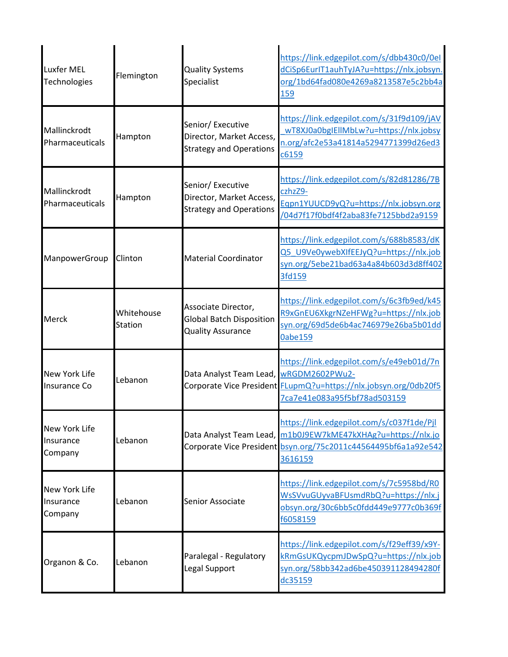| <b>Luxfer MEL</b><br>Technologies            | Flemington            | <b>Quality Systems</b><br>Specialist                                               | https://link.edgepilot.com/s/dbb430c0/0el<br>dCiSp6EurlT1auhTyJA?u=https://nlx.jobsyn.<br>org/1bd64fad080e4269a8213587e5c2bb4a<br>159                                                  |
|----------------------------------------------|-----------------------|------------------------------------------------------------------------------------|----------------------------------------------------------------------------------------------------------------------------------------------------------------------------------------|
| Mallinckrodt<br>Pharmaceuticals              | Hampton               | Senior/ Executive<br>Director, Market Access,<br><b>Strategy and Operations</b>    | https://link.edgepilot.com/s/31f9d109/jAV<br>wT8XJ0a0bgIEllMbLw?u=https://nlx.jobsy<br>n.org/afc2e53a41814a5294771399d26ed3<br>c6159                                                   |
| Mallinckrodt<br>Pharmaceuticals              | Hampton               | Senior/ Executive<br>Director, Market Access,<br><b>Strategy and Operations</b>    | https://link.edgepilot.com/s/82d81286/7B<br>czhzZ9-<br>Eqpn1YUUCD9yQ?u=https://nlx.jobsyn.org<br>/04d7f17f0bdf4f2aba83fe7125bbd2a9159                                                  |
| ManpowerGroup                                | Clinton               | <b>Material Coordinator</b>                                                        | https://link.edgepilot.com/s/688b8583/dK<br>Q5 U9Ve0ywebXIfEEJyQ?u=https://nlx.job<br>syn.org/5ebe21bad63a4a84b603d3d8ff402<br>3fd159                                                  |
| Merck                                        | Whitehouse<br>Station | Associate Director,<br><b>Global Batch Disposition</b><br><b>Quality Assurance</b> | https://link.edgepilot.com/s/6c3fb9ed/k45<br>R9xGnEU6XkgrNZeHFWg?u=https://nlx.job<br>syn.org/69d5de6b4ac746979e26ba5b01dd<br><b>0abe159</b>                                           |
| New York Life<br>Insurance Co                | Lebanon               | Data Analyst Team Lead, WRGDM2602PWu2-                                             | https://link.edgepilot.com/s/e49eb01d/7n<br>Corporate Vice President FLupmQ?u=https://nlx.jobsyn.org/0db20f5<br>7ca7e41e083a95f5bf78ad503159                                           |
| New York Life<br>Insurance<br>Company        | Lebanon               |                                                                                    | https://link.edgepilot.com/s/c037f1de/Pjl<br>Data Analyst Team Lead, m1b0J9EW7kME47kXHAg?u=https://nlx.jo<br>Corporate Vice President bsyn.org/75c2011c44564495bf6a1a92e542<br>3616159 |
| <b>New York Life</b><br>Insurance<br>Company | Lebanon               | Senior Associate                                                                   | https://link.edgepilot.com/s/7c5958bd/R0<br>WsSVvuGUyvaBFUsmdRbQ?u=https://nlx.j<br>obsyn.org/30c6bb5c0fdd449e9777c0b369f<br>f6058159                                                  |
| Organon & Co.                                | Lebanon               | Paralegal - Regulatory<br>Legal Support                                            | https://link.edgepilot.com/s/f29eff39/x9Y-<br>kRmGsUKQycpmJDwSpQ?u=https://nlx.job<br>syn.org/58bb342ad6be450391128494280f<br>dc35159                                                  |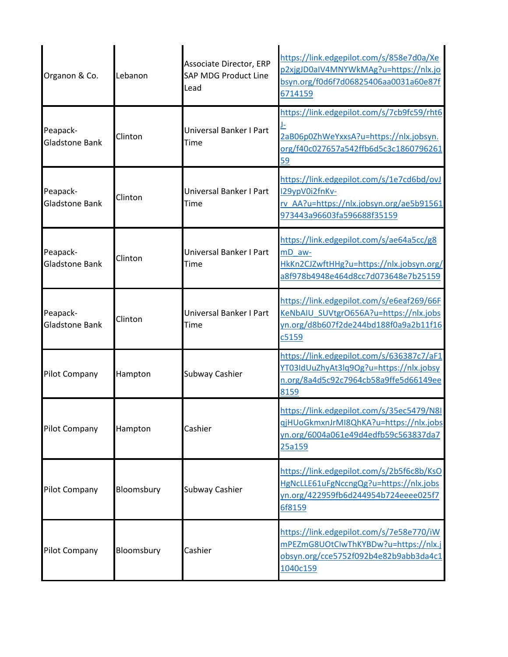| Organon & Co.                     | Lebanon    | <b>Associate Director, ERP</b><br><b>SAP MDG Product Line</b><br>Lead | https://link.edgepilot.com/s/858e7d0a/Xe<br>p2xjgJD0aIV4MNYWkMAg?u=https://nlx.jo<br>bsyn.org/f0d6f7d06825406aa0031a60e87f<br>6714159 |
|-----------------------------------|------------|-----------------------------------------------------------------------|---------------------------------------------------------------------------------------------------------------------------------------|
| Peapack-<br><b>Gladstone Bank</b> | Clinton    | Universal Banker I Part<br><b>Time</b>                                | https://link.edgepilot.com/s/7cb9fc59/rht6<br>2aB06p0ZhWeYxxsA?u=https://nlx.jobsyn.<br>org/f40c027657a542ffb6d5c3c1860796261<br>59   |
| Peapack-<br><b>Gladstone Bank</b> | Clinton    | <b>Universal Banker I Part</b><br>Time                                | https://link.edgepilot.com/s/1e7cd6bd/ovJ<br>I29ypV0i2fnKv-<br>rv AA?u=https://nlx.jobsyn.org/ae5b91561<br>973443a96603fa596688f35159 |
| Peapack-<br><b>Gladstone Bank</b> | Clinton    | Universal Banker I Part<br>Time                                       | https://link.edgepilot.com/s/ae64a5cc/g8<br>mD aw-<br>HkKn2CJZwftHHg?u=https://nlx.jobsyn.org/<br>a8f978b4948e464d8cc7d073648e7b25159 |
| Peapack-<br><b>Gladstone Bank</b> | Clinton    | Universal Banker I Part<br>Time                                       | https://link.edgepilot.com/s/e6eaf269/66F<br>KeNbAIU SUVtgrO656A?u=https://nlx.jobs<br>yn.org/d8b607f2de244bd188f0a9a2b11f16<br>c5159 |
| <b>Pilot Company</b>              | Hampton    | <b>Subway Cashier</b>                                                 | https://link.edgepilot.com/s/636387c7/aF1<br>YT03IdUuZhyAt3lq9Og?u=https://nlx.jobsy<br>n.org/8a4d5c92c7964cb58a9ffe5d66149ee<br>8159 |
| <b>Pilot Company</b>              | Hampton    | Cashier                                                               | https://link.edgepilot.com/s/35ec5479/N8I<br>qjHUoGkmxnJrMI8QhKA?u=https://nlx.jobs<br>yn.org/6004a061e49d4edfb59c563837da7<br>25a159 |
| <b>Pilot Company</b>              | Bloomsbury | <b>Subway Cashier</b>                                                 | https://link.edgepilot.com/s/2b5f6c8b/KsO<br>HgNcLLE61uFgNccngQg?u=https://nlx.jobs<br>yn.org/422959fb6d244954b724eeee025f7<br>6f8159 |
| <b>Pilot Company</b>              | Bloomsbury | Cashier                                                               | https://link.edgepilot.com/s/7e58e770/iW<br>mPEZmG8UOtCIwThKYBDw?u=https://nlx.j<br>obsyn.org/cce5752f092b4e82b9abb3da4c1<br>1040c159 |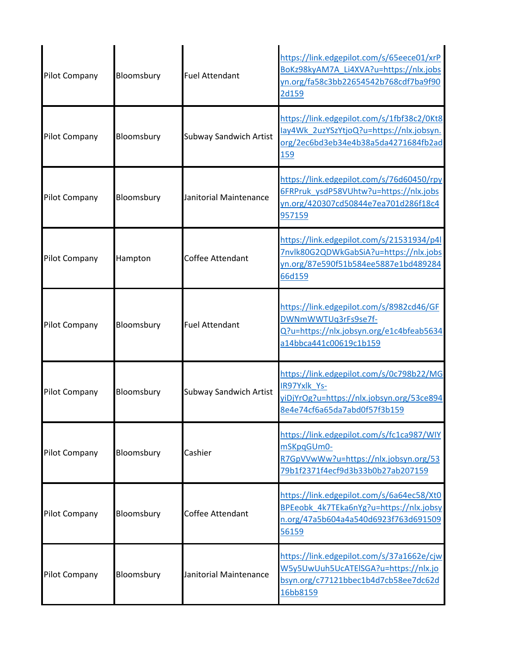| <b>Pilot Company</b> | Bloomsbury | <b>Fuel Attendant</b>         | https://link.edgepilot.com/s/65eece01/xrP<br>BoKz98kyAM7A Li4XVA?u=https://nlx.jobs<br>yn.org/fa58c3bb22654542b768cdf7ba9f90<br>2d159 |
|----------------------|------------|-------------------------------|---------------------------------------------------------------------------------------------------------------------------------------|
| Pilot Company        | Bloomsbury | <b>Subway Sandwich Artist</b> | https://link.edgepilot.com/s/1fbf38c2/0Kt8<br>lay4Wk 2uzYSzYtjoQ?u=https://nlx.jobsyn.<br>org/2ec6bd3eb34e4b38a5da4271684fb2ad<br>159 |
| <b>Pilot Company</b> | Bloomsbury | Janitorial Maintenance        | https://link.edgepilot.com/s/76d60450/rpy<br>6FRPruk ysdP58VUhtw?u=https://nlx.jobs<br>yn.org/420307cd50844e7ea701d286f18c4<br>957159 |
| Pilot Company        | Hampton    | Coffee Attendant              | https://link.edgepilot.com/s/21531934/p4l<br>7nvlk80G2QDWkGabSiA?u=https://nlx.jobs<br>yn.org/87e590f51b584ee5887e1bd489284<br>66d159 |
| Pilot Company        | Bloomsbury | <b>Fuel Attendant</b>         | https://link.edgepilot.com/s/8982cd46/GF<br>DWNmWWTUq3rFs9se7f-<br>Q?u=https://nlx.jobsyn.org/e1c4bfeab5634<br>a14bbca441c00619c1b159 |
| <b>Pilot Company</b> | Bloomsbury | <b>Subway Sandwich Artist</b> | https://link.edgepilot.com/s/0c798b22/MG<br>IR97Yxlk Ys-<br>yiDjYrOg?u=https://nlx.jobsyn.org/53ce894<br>8e4e74cf6a65da7abd0f57f3b159 |
| Pilot Company        | Bloomsbury | Cashier                       | https://link.edgepilot.com/s/fc1ca987/WIY<br>mSKpqGUm0-<br>R7GpVVwWw?u=https://nlx.jobsyn.org/53<br>79b1f2371f4ecf9d3b33b0b27ab207159 |
| Pilot Company        | Bloomsbury | Coffee Attendant              | https://link.edgepilot.com/s/6a64ec58/Xt0<br>BPEeobk 4k7TEka6nYg?u=https://nlx.jobsy<br>n.org/47a5b604a4a540d6923f763d691509<br>56159 |
| Pilot Company        | Bloomsbury | Janitorial Maintenance        | https://link.edgepilot.com/s/37a1662e/cjw<br>W5y5UwUuh5UcATEISGA?u=https://nlx.jo<br>bsyn.org/c77121bbec1b4d7cb58ee7dc62d<br>16bb8159 |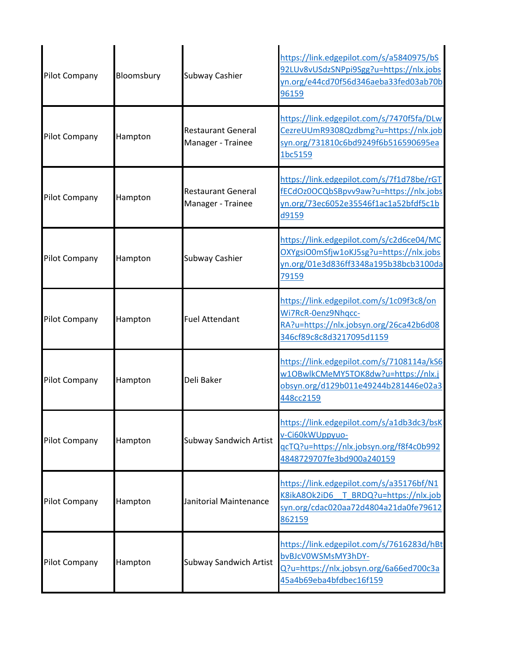| Pilot Company        | Bloomsbury | Subway Cashier                                 | https://link.edgepilot.com/s/a5840975/bS<br>92LUv8vUSdzSNPpi9Sgg?u=https://nlx.jobs<br>yn.org/e44cd70f56d346aeba33fed03ab70b<br>96159 |
|----------------------|------------|------------------------------------------------|---------------------------------------------------------------------------------------------------------------------------------------|
| Pilot Company        | Hampton    | <b>Restaurant General</b><br>Manager - Trainee | https://link.edgepilot.com/s/7470f5fa/DLw<br>CezreUUmR9308Qzdbmg?u=https://nlx.job<br>syn.org/731810c6bd9249f6b516590695ea<br>1bc5159 |
| <b>Pilot Company</b> | Hampton    | <b>Restaurant General</b><br>Manager - Trainee | https://link.edgepilot.com/s/7f1d78be/rGT<br>fECdOz0OCQbSBpvv9aw?u=https://nlx.jobs<br>yn.org/73ec6052e35546f1ac1a52bfdf5c1b<br>d9159 |
| Pilot Company        | Hampton    | <b>Subway Cashier</b>                          | https://link.edgepilot.com/s/c2d6ce04/MC<br>OXYgsiO0mSfjw1oKJ5sg?u=https://nlx.jobs<br>yn.org/01e3d836ff3348a195b38bcb3100da<br>79159 |
| Pilot Company        | Hampton    | <b>Fuel Attendant</b>                          | https://link.edgepilot.com/s/1c09f3c8/on<br>Wi7RcR-0enz9Nhqcc-<br>RA?u=https://nlx.jobsyn.org/26ca42b6d08<br>346cf89c8c8d3217095d1159 |
| Pilot Company        | Hampton    | Deli Baker                                     | https://link.edgepilot.com/s/7108114a/kS6<br>w1OBwlkCMeMY5TOK8dw?u=https://nlx.j<br>obsyn.org/d129b011e49244b281446e02a3<br>448cc2159 |
| <b>Pilot Company</b> | Hampton    | <b>Subway Sandwich Artist</b>                  | https://link.edgepilot.com/s/a1db3dc3/bsK<br>v-Ci60kWUppyuo-<br>qcTQ?u=https://nlx.jobsyn.org/f8f4c0b992<br>4848729707fe3bd900a240159 |
| <b>Pilot Company</b> | Hampton    | Janitorial Maintenance                         | https://link.edgepilot.com/s/a35176bf/N1<br>K8ikA8Ok2iD6 T BRDQ?u=https://nlx.job<br>syn.org/cdac020aa72d4804a21da0fe79612<br>862159  |
| <b>Pilot Company</b> | Hampton    | <b>Subway Sandwich Artist</b>                  | https://link.edgepilot.com/s/7616283d/hBt<br>bvBJcV0WSMsMY3hDY-<br>Q?u=https://nlx.jobsyn.org/6a66ed700c3a<br>45a4b69eba4bfdbec16f159 |